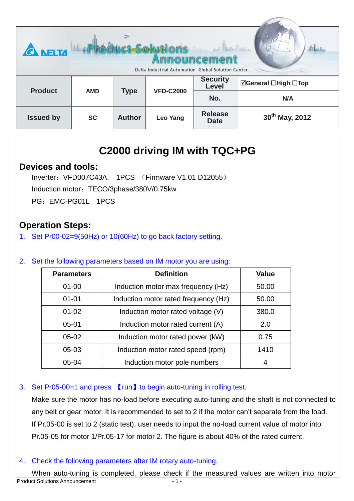| <b>CA NELTA</b>  | Product-Solutions<br>Martin and Martin Martin<br>Announcement<br>Delta Industrial Automation Global Solution Center |               |                  |                               |                            |
|------------------|---------------------------------------------------------------------------------------------------------------------|---------------|------------------|-------------------------------|----------------------------|
| <b>Product</b>   | <b>AMD</b>                                                                                                          | <b>Type</b>   | <b>VFD-C2000</b> | <b>Security</b><br>Level      | ⊠General □High □Top        |
|                  |                                                                                                                     |               |                  | No.                           | N/A                        |
| <b>Issued by</b> | <b>SC</b>                                                                                                           | <b>Author</b> | Leo Yang         | <b>Release</b><br><b>Date</b> | 30 <sup>th</sup> May, 2012 |

Service Com

# **C2000 driving IM with TQC+PG**

# **Devices and tools:**

Inverter:VFD007C43A, 1PCS (Firmware V1.01 D12055) Induction motor: TECO/3phase/380V/0.75kw PG: EMC-PG01L 1PCS

# **Operation Steps:**

1. Set Pr00-02=9(50Hz) or 10(60Hz) to go back factory setting.

#### 2. Set the following parameters based on IM motor you are using:

| <b>Parameters</b> | <b>Definition</b>                    | <b>Value</b> |
|-------------------|--------------------------------------|--------------|
| $01 - 00$         | Induction motor max frequency (Hz)   | 50.00        |
| $01 - 01$         | Induction motor rated frequency (Hz) | 50.00        |
| $01 - 02$         | Induction motor rated voltage (V)    | 380.0        |
| $05 - 01$         | Induction motor rated current (A)    | 2.0          |
| $05-02$           | Induction motor rated power (kW)     | 0.75         |
| $05-03$           | Induction motor rated speed (rpm)    | 1410         |
| $05 - 04$         | Induction motor pole numbers         | 4            |

#### 3. Set Pr05-00=1 and press 【run】to begin auto-tuning in rolling test.

Make sure the motor has no-load before executing auto-tuning and the shaft is not connected to any belt or gear motor. It is recommended to set to 2 if the motor can't separate from the load. If Pr.05-00 is set to 2 (static test), user needs to input the no-load current value of motor into Pr.05-05 for motor 1/Pr.05-17 for motor 2. The figure is about 40% of the rated current.

#### 4. Check the following parameters after IM rotary auto-tuning.

When auto-tuning is completed, please check if the measured values are written into motor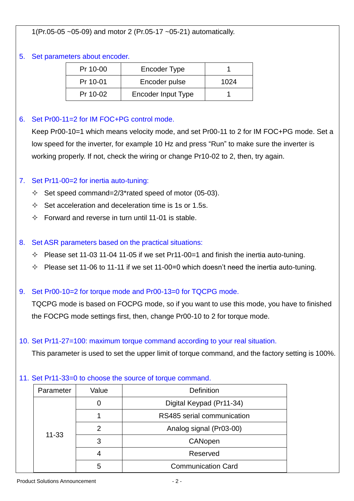1(Pr.05-05 ~05-09) and motor 2 (Pr.05-17 ~05-21) automatically.

#### 5. Set parameters about encoder.

| Pr 10-00 | Encoder Type       |      |
|----------|--------------------|------|
| Pr 10-01 | Encoder pulse      | 1024 |
| Pr 10-02 | Encoder Input Type |      |

#### 6. Set Pr00-11=2 for IM FOC+PG control mode.

Keep Pr00-10=1 which means velocity mode, and set Pr00-11 to 2 for IM FOC+PG mode. Set a low speed for the inverter, for example 10 Hz and press "Run" to make sure the inverter is working properly. If not, check the wiring or change Pr10-02 to 2, then, try again.

#### 7. Set Pr11-00=2 for inertia auto-tuning:

- $\div$  Set speed command=2/3\*rated speed of motor (05-03).
- $\Diamond$  Set acceleration and deceleration time is 1s or 1.5s.
- $\Diamond$  Forward and reverse in turn until 11-01 is stable.

#### 8. Set ASR parameters based on the practical situations:

- $\Diamond$  Please set 11-03 11-04 11-05 if we set Pr11-00=1 and finish the inertia auto-tuning.
- $\div$  Please set 11-06 to 11-11 if we set 11-00=0 which doesn't need the inertia auto-tuning.

#### 9. Set Pr00-10=2 for torque mode and Pr00-13=0 for TQCPG mode.

TQCPG mode is based on FOCPG mode, so if you want to use this mode, you have to finished the FOCPG mode settings first, then, change Pr00-10 to 2 for torque mode.

#### 10. Set Pr11-27=100: maximum torque command according to your real situation.

This parameter is used to set the upper limit of torque command, and the factory setting is 100%.

#### 11. Set Pr11-33=0 to choose the source of torque command.

|  | Parameter | Value                      | Definition                |  |
|--|-----------|----------------------------|---------------------------|--|
|  | $11 - 33$ |                            | Digital Keypad (Pr11-34)  |  |
|  |           | RS485 serial communication |                           |  |
|  |           | 2                          | Analog signal (Pr03-00)   |  |
|  |           | 3                          | CANopen                   |  |
|  |           | Reserved                   |                           |  |
|  |           | 5                          | <b>Communication Card</b> |  |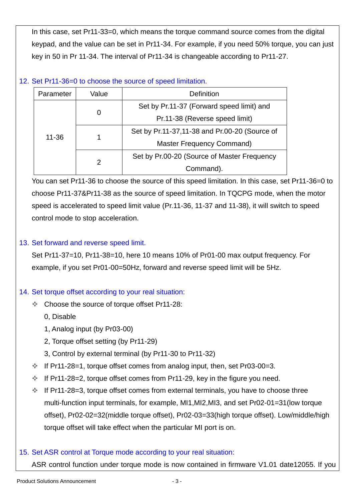In this case, set Pr11-33=0, which means the torque command source comes from the digital keypad, and the value can be set in Pr11-34. For example, if you need 50% torque, you can just key in 50 in Pr 11-34. The interval of Pr11-34 is changeable according to Pr11-27.

### 12. Set Pr11-36=0 to choose the source of speed limitation.

| Parameter | Value | Definition                                    |
|-----------|-------|-----------------------------------------------|
| $11 - 36$ | 0     | Set by Pr.11-37 (Forward speed limit) and     |
|           |       | Pr.11-38 (Reverse speed limit)                |
|           |       | Set by Pr.11-37,11-38 and Pr.00-20 (Source of |
|           |       | <b>Master Frequency Command)</b>              |
|           | 2     | Set by Pr.00-20 (Source of Master Frequency   |
|           |       | Command).                                     |

You can set Pr11-36 to choose the source of this speed limitation. In this case, set Pr11-36=0 to choose Pr11-37&Pr11-38 as the source of speed limitation. In TQCPG mode, when the motor speed is accelerated to speed limit value (Pr.11-36, 11-37 and 11-38), it will switch to speed control mode to stop acceleration.

# 13. Set forward and reverse speed limit.

Set Pr11-37=10, Pr11-38=10, here 10 means 10% of Pr01-00 max output frequency. For example, if you set Pr01-00=50Hz, forward and reverse speed limit will be 5Hz.

# 14. Set torque offset according to your real situation:

- $\Diamond$  Choose the source of torque offset Pr11-28:
	- 0, Disable
	- 1, Analog input (by Pr03-00)
	- 2, Torque offset setting (by Pr11-29)
	- 3, Control by external terminal (by Pr11-30 to Pr11-32)
- $\div$  If Pr11-28=1, torque offset comes from analog input, then, set Pr03-00=3.
- $\div$  If Pr11-28=2, torque offset comes from Pr11-29, key in the figure you need.
- $\div$  If Pr11-28=3, torque offset comes from external terminals, you have to choose three multi-function input terminals, for example, MI1,MI2,MI3, and set Pr02-01=31(low torque offset), Pr02-02=32(middle torque offset), Pr02-03=33(high torque offset). Low/middle/high torque offset will take effect when the particular MI port is on.

# 15. Set ASR control at Torque mode according to your real situation:

ASR control function under torque mode is now contained in firmware V1.01 date12055. If you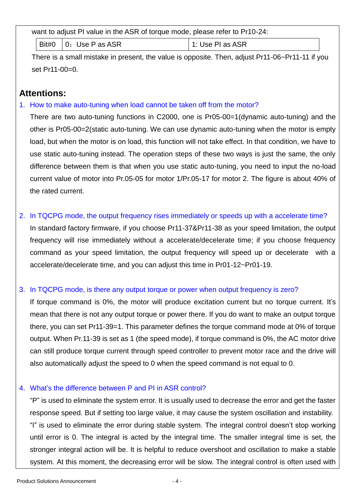want to adjust PI value in the ASR of torque mode, please refer to Pr10-24:

Bit#0  $\vert$  0: Use P as ASR  $\vert$  1: Use PI as ASR

There is a small mistake in present, the value is opposite. Then, adjust Pr11-06~Pr11-11 if you set Pr11-00=0.

# **Attentions:**

1. How to make auto-tuning when load cannot be taken off from the motor?

There are two auto-tuning functions in C2000, one is Pr05-00=1(dynamic auto-tuning) and the other is Pr05-00=2(static auto-tuning. We can use dynamic auto-tuning when the motor is empty load, but when the motor is on load, this function will not take effect. In that condition, we have to use static auto-tuning instead. The operation steps of these two ways is just the same, the only difference between them is that when you use static auto-tuning, you need to input the no-load current value of motor into Pr.05-05 for motor 1/Pr.05-17 for motor 2. The figure is about 40% of the rated current.

2. In TQCPG mode, the output frequency rises immediately or speeds up with a accelerate time? In standard factory firmware, if you choose Pr11-37&Pr11-38 as your speed limitation, the output frequency will rise immediately without a accelerate/decelerate time; if you choose frequency command as your speed limitation, the output frequency will speed up or decelerate with a accelerate/decelerate time, and you can adjust this time in Pr01-12~Pr01-19.

#### 3. In TQCPG mode, is there any output torque or power when output frequency is zero?

If torque command is 0%, the motor will produce excitation current but no torque current. It's mean that there is not any output torque or power there. If you do want to make an output torque there, you can set Pr11-39=1. This parameter defines the torque command mode at 0% of torque output. When Pr.11-39 is set as 1 (the speed mode), if torque command is 0%, the AC motor drive can still produce torque current through speed controller to prevent motor race and the drive will also automatically adjust the speed to 0 when the speed command is not equal to 0.

#### 4. What's the difference between P and PI in ASR control?

"P" is used to eliminate the system error. It is usually used to decrease the error and get the faster response speed. But if setting too large value, it may cause the system oscillation and instability. "I" is used to eliminate the error during stable system. The integral control doesn't stop working until error is 0. The integral is acted by the integral time. The smaller integral time is set, the stronger integral action will be. It is helpful to reduce overshoot and oscillation to make a stable system. At this moment, the decreasing error will be slow. The integral control is often used with